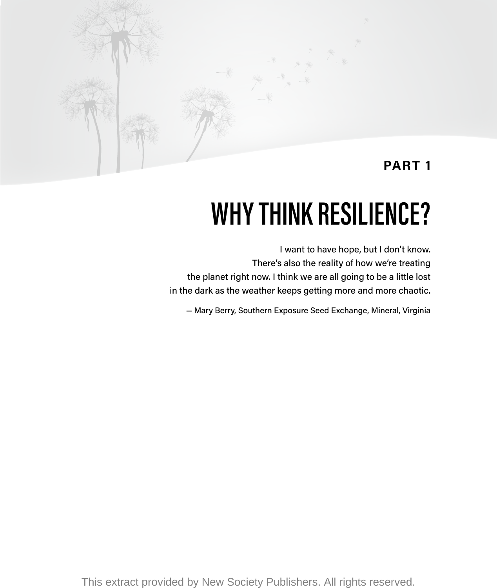# **PART 1**

# **WHY THINK RESILIENCE?**

I want to have hope, but I don't know. There's also the reality of how we're treating the planet right now. I think we are all going to be a little lost in the dark as the weather keeps getting more and more chaotic.

— Mary Berry, Southern Exposure Seed Exchange, Mineral, Virginia

This extract provided by New Society Publishers. All rights reserved.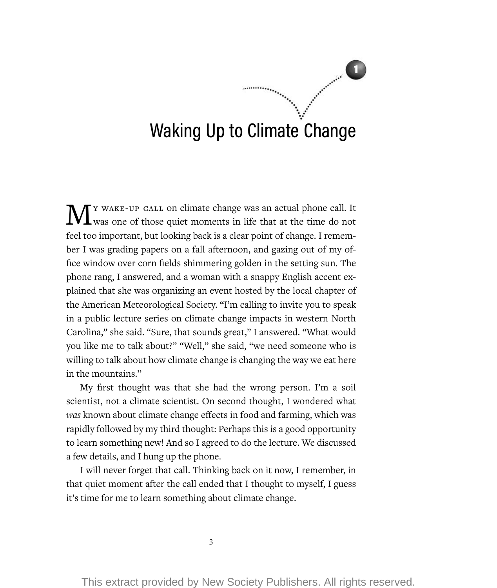# Waking Up to Climate Change

1

Y WAKE-UP CALL on climate change was an actual phone call. It **L** was one of those quiet moments in life that at the time do not feel too important, but looking back is a clear point of change. I remember I was grading papers on a fall afternoon, and gazing out of my office window over corn fields shimmering golden in the setting sun. The phone rang, I answered, and a woman with a snappy English accent explained that she was organizing an event hosted by the local chapter of the American Meteorological Society. "I'm calling to invite you to speak in a public lecture series on climate change impacts in western North Carolina," she said. "Sure, that sounds great," I answered. "What would you like me to talk about?" "Well," she said, "we need someone who is willing to talk about how climate change is changing the way we eat here in the mountains."

My first thought was that she had the wrong person. I'm a soil scientist, not a climate scientist. On second thought, I wondered what *was* known about climate change effects in food and farming, which was rapidly followed by my third thought: Perhaps this is a good opportunity to learn something new! And so I agreed to do the lecture. We discussed a few details, and I hung up the phone.

I will never forget that call. Thinking back on it now, I remember, in that quiet moment after the call ended that I thought to myself, I guess it's time for me to learn something about climate change.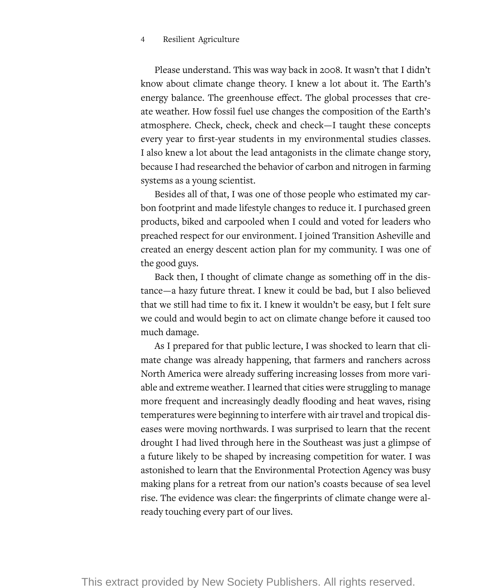#### 4 Resilient Agriculture

Please understand. This was way back in 2008. It wasn't that I didn't know about climate change theory. I knew a lot about it. The Earth's energy balance. The greenhouse effect. The global processes that create weather. How fossil fuel use changes the composition of the Earth's atmosphere. Check, check, check and check— I taught these concepts every year to first-year students in my environmental studies classes. I also knew a lot about the lead antagonists in the climate change story, because I had researched the behavior of carbon and nitrogen in farming systems as a young scientist.

Besides all of that, I was one of those people who estimated my carbon footprint and made lifestyle changes to reduce it. I purchased green products, biked and carpooled when I could and voted for leaders who preached respect for our environment. I joined Transition Asheville and created an energy descent action plan for my community. I was one of the good guys.

Back then, I thought of climate change as something off in the distance— a hazy future threat. I knew it could be bad, but I also believed that we still had time to fix it. I knew it wouldn't be easy, but I felt sure we could and would begin to act on climate change before it caused too much damage.

As I prepared for that public lecture, I was shocked to learn that climate change was already happening, that farmers and ranchers across North America were already suffering increasing losses from more variable and extreme weather. I learned that cities were struggling to manage more frequent and increasingly deadly flooding and heat waves, rising temperatures were beginning to interfere with air travel and tropical diseases were moving northwards. I was surprised to learn that the recent drought I had lived through here in the Southeast was just a glimpse of a future likely to be shaped by increasing competition for water. I was astonished to learn that the Environmental Protection Agency was busy making plans for a retreat from our nation's coasts because of sea level rise. The evidence was clear: the fingerprints of climate change were already touching every part of our lives.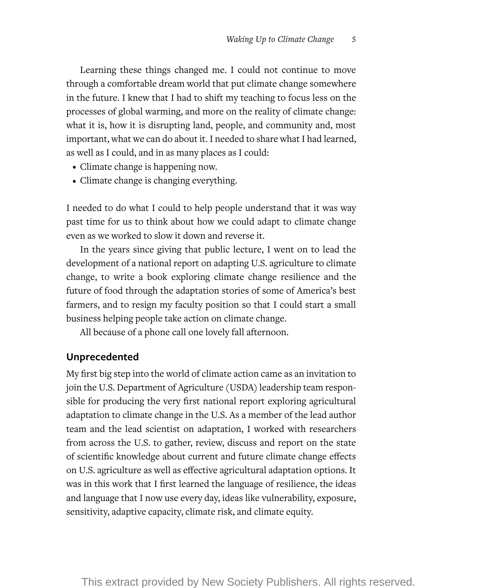Learning these things changed me. I could not continue to move through a comfortable dream world that put climate change somewhere in the future. I knew that I had to shift my teaching to focus less on the processes of global warming, and more on the reality of climate change: what it is, how it is disrupting land, people, and community and, most important, what we can do about it. I needed to share what I had learned, as well as I could, and in as many places as I could:

- Climate change is happening now.
- Climate change is changing everything.

I needed to do what I could to help people understand that it was way past time for us to think about how we could adapt to climate change even as we worked to slow it down and reverse it.

In the years since giving that public lecture, I went on to lead the development of a national report on adapting U.S. agriculture to climate change, to write a book exploring climate change resilience and the future of food through the adaptation stories of some of America's best farmers, and to resign my faculty position so that I could start a small business helping people take action on climate change.

All because of a phone call one lovely fall afternoon.

### **Unprecedented**

My first big step into the world of climate action came as an invitation to join the U.S. Department of Agriculture (USDA) leadership team responsible for producing the very first national report exploring agricultural adaptation to climate change in the U.S. As a member of the lead author team and the lead scientist on adaptation, I worked with researchers from across the U.S. to gather, review, discuss and report on the state of scientific knowledge about current and future climate change effects on U.S. agriculture as well as effective agricultural adaptation options. It was in this work that I first learned the language of resilience, the ideas and language that I now use every day, ideas like vulnerability, exposure, sensitivity, adaptive capacity, climate risk, and climate equity.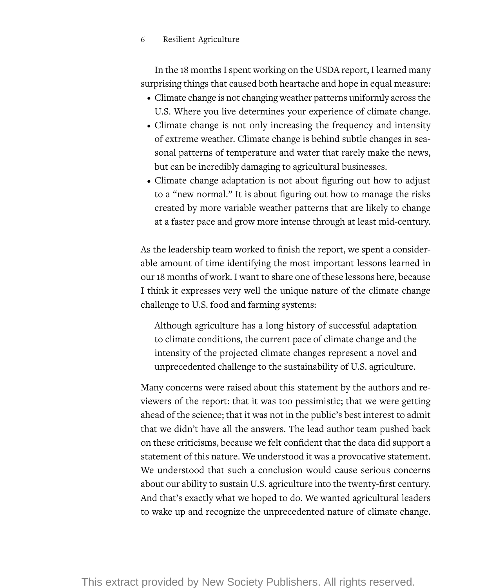#### 6 Resilient Agriculture

In the 18 months I spent working on the USDA report, I learned many surprising things that caused both heartache and hope in equal measure:

- Climate change is not changing weather patterns uniformly across the U.S. Where you live determines your experience of climate change.
- Climate change is not only increasing the frequency and intensity of extreme weather. Climate change is behind subtle changes in seasonal patterns of temperature and water that rarely make the news, but can be incredibly damaging to agricultural businesses.
- Climate change adaptation is not about figuring out how to adjust to a "new normal." It is about figuring out how to manage the risks created by more variable weather patterns that are likely to change at a faster pace and grow more intense through at least mid-century.

As the leadership team worked to finish the report, we spent a considerable amount of time identifying the most important lessons learned in our 18 months of work. I want to share one of these lessons here, because I think it expresses very well the unique nature of the climate change challenge to U.S. food and farming systems:

Although agriculture has a long history of successful adaptation to climate conditions, the current pace of climate change and the intensity of the projected climate changes represent a novel and unprecedented challenge to the sustainability of U.S. agriculture.

Many concerns were raised about this statement by the authors and reviewers of the report: that it was too pessimistic; that we were getting ahead of the science; that it was not in the public's best interest to admit that we didn't have all the answers. The lead author team pushed back on these criticisms, because we felt confident that the data did support a statement of this nature. We understood it was a provocative statement. We understood that such a conclusion would cause serious concerns about our ability to sustain U.S. agriculture into the twenty-first century. And that's exactly what we hoped to do. We wanted agricultural leaders to wake up and recognize the unprecedented nature of climate change.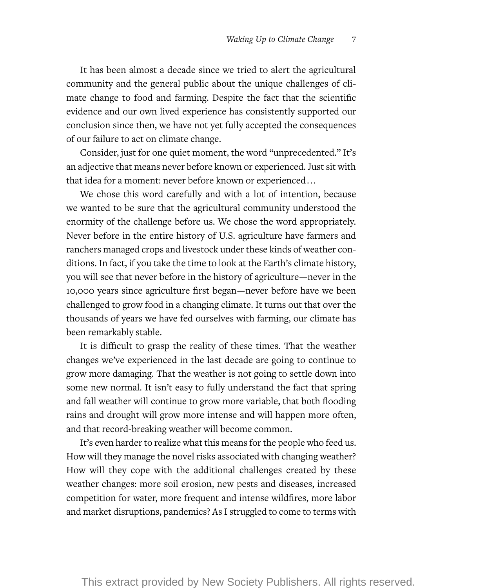It has been almost a decade since we tried to alert the agricultural community and the general public about the unique challenges of climate change to food and farming. Despite the fact that the scientific evidence and our own lived experience has consistently supported our conclusion since then, we have not yet fully accepted the consequences of our failure to act on climate change.

Consider, just for one quiet moment, the word "unprecedented." It's an adjective that means never before known or experienced. Just sit with that idea for a moment: never before known or experienced ...

We chose this word carefully and with a lot of intention, because we wanted to be sure that the agricultural community understood the enormity of the challenge before us. We chose the word appropriately. Never before in the entire history of U.S. agriculture have farmers and ranchers managed crops and livestock under these kinds of weather conditions. In fact, if you take the time to look at the Earth's climate history, you will see that never before in the history of agriculture— never in the 10,000 years since agriculture first began— never before have we been challenged to grow food in a changing climate. It turns out that over the thousands of years we have fed ourselves with farming, our climate has been remarkably stable.

It is difficult to grasp the reality of these times. That the weather changes we've experienced in the last decade are going to continue to grow more damaging. That the weather is not going to settle down into some new normal. It isn't easy to fully understand the fact that spring and fall weather will continue to grow more variable, that both flooding rains and drought will grow more intense and will happen more often, and that record-breaking weather will become common.

It's even harder to realize what this means for the people who feed us. How will they manage the novel risks associated with changing weather? How will they cope with the additional challenges created by these weather changes: more soil erosion, new pests and diseases, increased competition for water, more frequent and intense wildfires, more labor and market disruptions, pandemics? As I struggled to come to terms with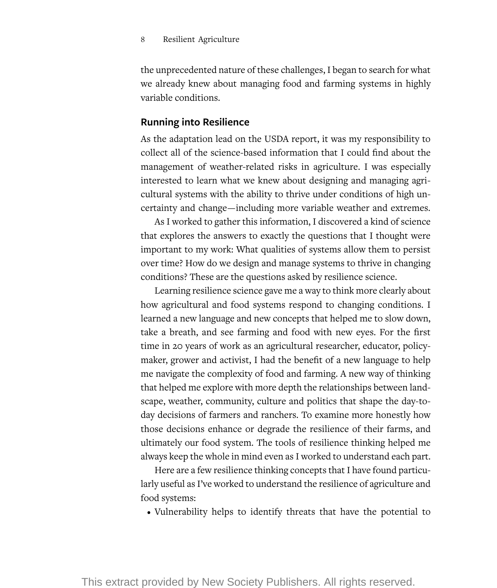#### 8 Resilient Agriculture

the unprecedented nature of these challenges, I began to search for what we already knew about managing food and farming systems in highly variable conditions.

### **Running into Resilience**

As the adaptation lead on the USDA report, it was my responsibility to collect all of the science-based information that I could find about the management of weather-related risks in agriculture. I was especially interested to learn what we knew about designing and managing agricultural systems with the ability to thrive under conditions of high uncertainty and change— including more variable weather and extremes.

As I worked to gather this information, I discovered a kind of science that explores the answers to exactly the questions that I thought were important to my work: What qualities of systems allow them to persist over time? How do we design and manage systems to thrive in changing conditions? These are the questions asked by resilience science.

Learning resilience science gave me a way to think more clearly about how agricultural and food systems respond to changing conditions. I learned a new language and new concepts that helped me to slow down, take a breath, and see farming and food with new eyes. For the first time in 20 years of work as an agricultural researcher, educator, policymaker, grower and activist, I had the benefit of a new language to help me navigate the complexity of food and farming. A new way of thinking that helped me explore with more depth the relationships between landscape, weather, community, culture and politics that shape the day-today decisions of farmers and ranchers. To examine more honestly how those decisions enhance or degrade the resilience of their farms, and ultimately our food system. The tools of resilience thinking helped me always keep the whole in mind even as I worked to understand each part.

Here are a few resilience thinking concepts that I have found particularly useful as I've worked to understand the resilience of agriculture and food systems:

• Vulnerability helps to identify threats that have the potential to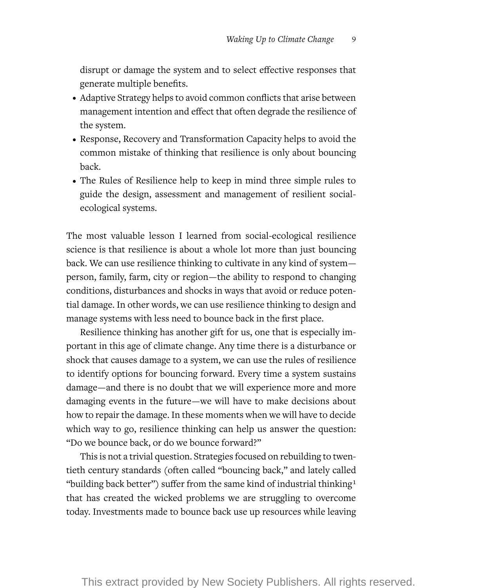disrupt or damage the system and to select effective responses that generate multiple benefits.

- Adaptive Strategy helps to avoid common conflicts that arise between management intention and effect that often degrade the resilience of the system.
- Response, Recovery and Transformation Capacity helps to avoid the common mistake of thinking that resilience is only about bouncing back.
- The Rules of Resilience help to keep in mind three simple rules to guide the design, assessment and management of resilient socialecological systems.

The most valuable lesson I learned from social-ecological resilience science is that resilience is about a whole lot more than just bouncing back. We can use resilience thinking to cultivate in any kind of system person, family, farm, city or region— the ability to respond to changing conditions, disturbances and shocks in ways that avoid or reduce potential damage. In other words, we can use resilience thinking to design and manage systems with less need to bounce back in the first place.

Resilience thinking has another gift for us, one that is especially important in this age of climate change. Any time there is a disturbance or shock that causes damage to a system, we can use the rules of resilience to identify options for bouncing forward. Every time a system sustains damage— and there is no doubt that we will experience more and more damaging events in the future— we will have to make decisions about how to repair the damage. In these moments when we will have to decide which way to go, resilience thinking can help us answer the question: "Do we bounce back, or do we bounce forward?"

This is not a trivial question. Strategies focused on rebuilding to twentieth century standards (often called "bouncing back," and lately called "building back better") suffer from the same kind of industrial thinking<sup>1</sup> that has created the wicked problems we are struggling to overcome today. Investments made to bounce back use up resources while leaving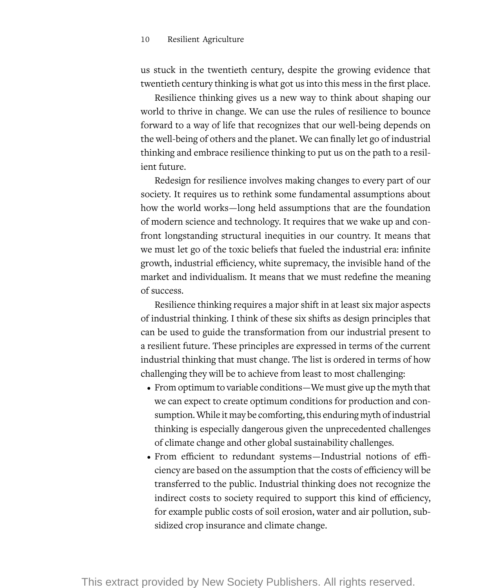us stuck in the twentieth century, despite the growing evidence that twentieth century thinking is what got us into this mess in the first place.

Resilience thinking gives us a new way to think about shaping our world to thrive in change. We can use the rules of resilience to bounce forward to a way of life that recognizes that our well-being depends on the well-being of others and the planet. We can finally let go of industrial thinking and embrace resilience thinking to put us on the path to a resilient future.

Redesign for resilience involves making changes to every part of our society. It requires us to rethink some fundamental assumptions about how the world works— long held assumptions that are the foundation of modern science and technology. It requires that we wake up and confront longstanding structural inequities in our country. It means that we must let go of the toxic beliefs that fueled the industrial era: infinite growth, industrial efficiency, white supremacy, the invisible hand of the market and individualism. It means that we must redefine the meaning of success.

Resilience thinking requires a major shift in at least six major aspects of industrial thinking. I think of these six shifts as design principles that can be used to guide the transformation from our industrial present to a resilient future. These principles are expressed in terms of the current industrial thinking that must change. The list is ordered in terms of how challenging they will be to achieve from least to most challenging:

- From optimum to variable conditions— We must give up the myth that we can expect to create optimum conditions for production and consumption. While it may be comforting, this enduring myth of industrial thinking is especially dangerous given the unprecedented challenges of climate change and other global sustainability challenges.
- From efficient to redundant systems— Industrial notions of efficiency are based on the assumption that the costs of efficiency will be transferred to the public. Industrial thinking does not recognize the indirect costs to society required to support this kind of efficiency, for example public costs of soil erosion, water and air pollution, subsidized crop insurance and climate change.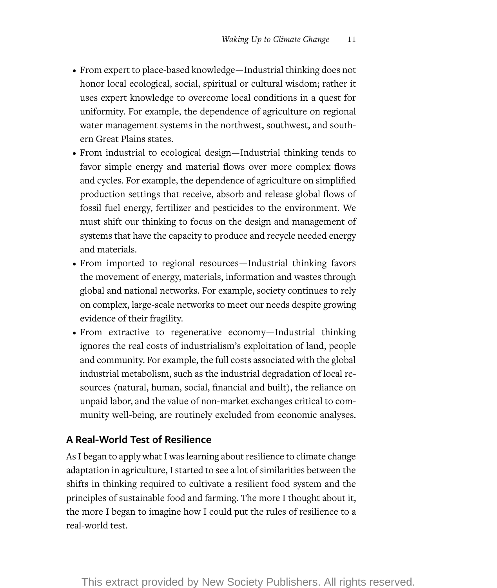- From expert to place-based knowledge— Industrial thinking does not honor local ecological, social, spiritual or cultural wisdom; rather it uses expert knowledge to overcome local conditions in a quest for uniformity. For example, the dependence of agriculture on regional water management systems in the northwest, southwest, and southern Great Plains states.
- From industrial to ecological design— Industrial thinking tends to favor simple energy and material flows over more complex flows and cycles. For example, the dependence of agriculture on simplified production settings that receive, absorb and release global flows of fossil fuel energy, fertilizer and pesticides to the environment. We must shift our thinking to focus on the design and management of systems that have the capacity to produce and recycle needed energy and materials.
- From imported to regional resources— Industrial thinking favors the movement of energy, materials, information and wastes through global and national networks. For example, society continues to rely on complex, large-scale networks to meet our needs despite growing evidence of their fragility.
- From extractive to regenerative economy— Industrial thinking ignores the real costs of industrialism's exploitation of land, people and community. For example, the full costs associated with the global industrial metabolism, such as the industrial degradation of local resources (natural, human, social, financial and built), the reliance on unpaid labor, and the value of non-market exchanges critical to community well-being, are routinely excluded from economic analyses.

# **A Real-World Test of Resilience**

As I began to apply what I was learning about resilience to climate change adaptation in agriculture, I started to see a lot of similarities between the shifts in thinking required to cultivate a resilient food system and the principles of sustainable food and farming. The more I thought about it, the more I began to imagine how I could put the rules of resilience to a real-world test.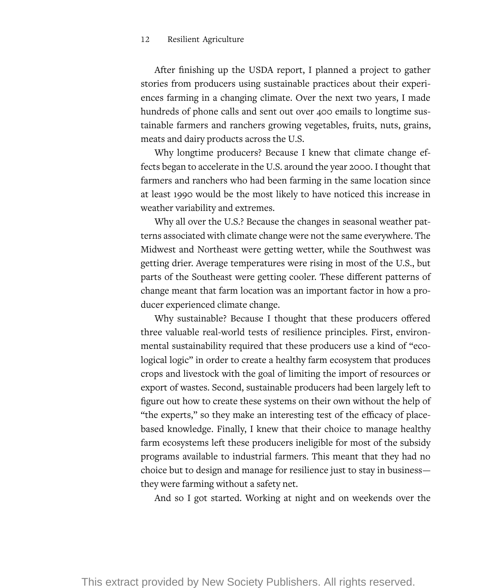After finishing up the USDA report, I planned a project to gather stories from producers using sustainable practices about their experiences farming in a changing climate. Over the next two years, I made hundreds of phone calls and sent out over 400 emails to longtime sustainable farmers and ranchers growing vegetables, fruits, nuts, grains, meats and dairy products across the U.S.

Why longtime producers? Because I knew that climate change effects began to accelerate in the U.S. around the year 2000. I thought that farmers and ranchers who had been farming in the same location since at least 1990 would be the most likely to have noticed this increase in weather variability and extremes.

Why all over the U.S.? Because the changes in seasonal weather patterns associated with climate change were not the same everywhere. The Midwest and Northeast were getting wetter, while the Southwest was getting drier. Average temperatures were rising in most of the U.S., but parts of the Southeast were getting cooler. These different patterns of change meant that farm location was an important factor in how a producer experienced climate change.

Why sustainable? Because I thought that these producers offered three valuable real-world tests of resilience principles. First, environmental sustainability required that these producers use a kind of "ecological logic" in order to create a healthy farm ecosystem that produces crops and livestock with the goal of limiting the import of resources or export of wastes. Second, sustainable producers had been largely left to figure out how to create these systems on their own without the help of "the experts," so they make an interesting test of the efficacy of placebased knowledge. Finally, I knew that their choice to manage healthy farm ecosystems left these producers ineligible for most of the subsidy programs available to industrial farmers. This meant that they had no choice but to design and manage for resilience just to stay in business they were farming without a safety net.

And so I got started. Working at night and on weekends over the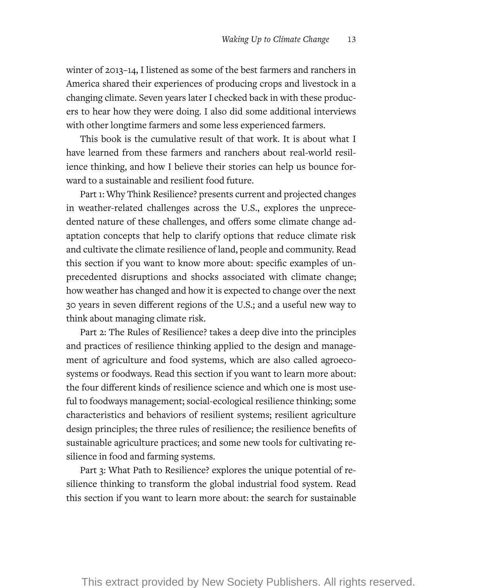winter of 2013–14, I listened as some of the best farmers and ranchers in America shared their experiences of producing crops and livestock in a changing climate. Seven years later I checked back in with these producers to hear how they were doing. I also did some additional interviews with other longtime farmers and some less experienced farmers.

This book is the cumulative result of that work. It is about what I have learned from these farmers and ranchers about real-world resilience thinking, and how I believe their stories can help us bounce forward to a sustainable and resilient food future.

Part 1: Why Think Resilience? presents current and projected changes in weather-related challenges across the U.S., explores the unprecedented nature of these challenges, and offers some climate change adaptation concepts that help to clarify options that reduce climate risk and cultivate the climate resilience of land, people and community. Read this section if you want to know more about: specific examples of unprecedented disruptions and shocks associated with climate change; how weather has changed and how it is expected to change over the next 30 years in seven different regions of the U.S.; and a useful new way to think about managing climate risk.

Part 2: The Rules of Resilience? takes a deep dive into the principles and practices of resilience thinking applied to the design and management of agriculture and food systems, which are also called agroecosystems or foodways. Read this section if you want to learn more about: the four different kinds of resilience science and which one is most useful to foodways management; social-ecological resilience thinking; some characteristics and behaviors of resilient systems; resilient agriculture design principles; the three rules of resilience; the resilience benefits of sustainable agriculture practices; and some new tools for cultivating resilience in food and farming systems.

Part 3: What Path to Resilience? explores the unique potential of resilience thinking to transform the global industrial food system. Read this section if you want to learn more about: the search for sustainable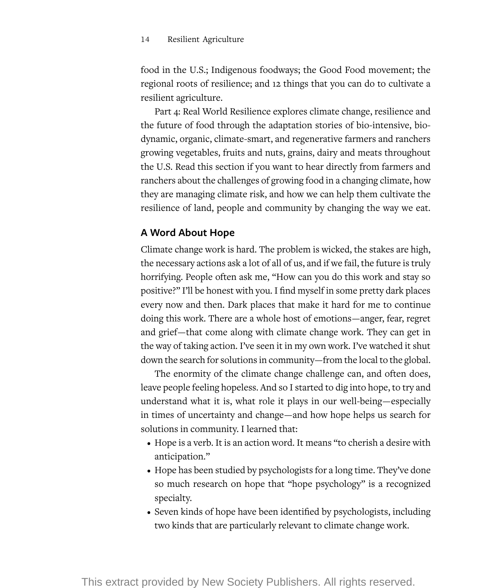food in the U.S.; Indigenous foodways; the Good Food movement; the regional roots of resilience; and 12 things that you can do to cultivate a resilient agriculture.

Part 4: Real World Resilience explores climate change, resilience and the future of food through the adaptation stories of bio-intensive, biodynamic, organic, climate-smart, and regenerative farmers and ranchers growing vegetables, fruits and nuts, grains, dairy and meats throughout the U.S. Read this section if you want to hear directly from farmers and ranchers about the challenges of growing food in a changing climate, how they are managing climate risk, and how we can help them cultivate the resilience of land, people and community by changing the way we eat.

## **A Word About Hope**

Climate change work is hard. The problem is wicked, the stakes are high, the necessary actions ask a lot of all of us, and if we fail, the future is truly horrifying. People often ask me, "How can you do this work and stay so positive?" I'll be honest with you. I find myself in some pretty dark places every now and then. Dark places that make it hard for me to continue doing this work. There are a whole host of emotions— anger, fear, regret and grief— that come along with climate change work. They can get in the way of taking action. I've seen it in my own work. I've watched it shut down the search for solutions in community— from the local to the global.

The enormity of the climate change challenge can, and often does, leave people feeling hopeless. And so I started to dig into hope, to try and understand what it is, what role it plays in our well-being— especially in times of uncertainty and change— and how hope helps us search for solutions in community. I learned that:

- Hope is a verb. It is an action word. It means "to cherish a desire with anticipation."
- Hope has been studied by psychologists for a long time. They've done so much research on hope that "hope psychology" is a recognized specialty.
- Seven kinds of hope have been identified by psychologists, including two kinds that are particularly relevant to climate change work.